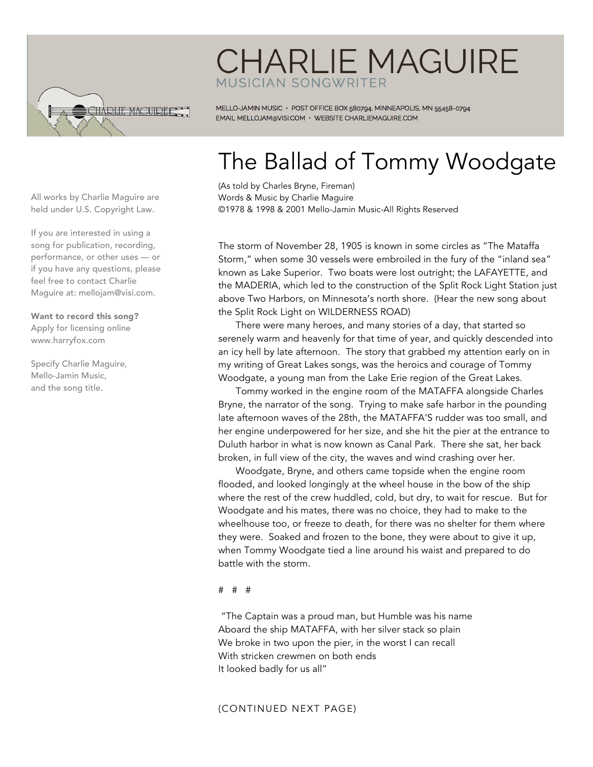

## **CHARLIE MAGUIRE** MUSICIAN SONGWRITER

MELLO-JAMIN MUSIC · POST OFFICE BOX 580794, MINNEAPOLIS, MN 55458-0794 EMAIL MELLOJAM@VISI.COM · WEBSITE CHARLIEMAGUIRE.COM

# The Ballad of Tommy Woodgate

(As told by Charles Bryne, Fireman) Words & Music by Charlie Maguire ©1978 & 1998 & 2001 Mello-Jamin Music-All Rights Reserved

The storm of November 28, 1905 is known in some circles as "The Mataffa Storm," when some 30 vessels were embroiled in the fury of the "inland sea" known as Lake Superior. Two boats were lost outright; the LAFAYETTE, and the MADERIA, which led to the construction of the Split Rock Light Station just above Two Harbors, on Minnesota's north shore. (Hear the new song about the Split Rock Light on WILDERNESS ROAD)

There were many heroes, and many stories of a day, that started so serenely warm and heavenly for that time of year, and quickly descended into an icy hell by late afternoon. The story that grabbed my attention early on in my writing of Great Lakes songs, was the heroics and courage of Tommy Woodgate, a young man from the Lake Erie region of the Great Lakes.

Tommy worked in the engine room of the MATAFFA alongside Charles Bryne, the narrator of the song. Trying to make safe harbor in the pounding late afternoon waves of the 28th, the MATAFFA'S rudder was too small, and her engine underpowered for her size, and she hit the pier at the entrance to Duluth harbor in what is now known as Canal Park. There she sat, her back broken, in full view of the city, the waves and wind crashing over her.

Woodgate, Bryne, and others came topside when the engine room flooded, and looked longingly at the wheel house in the bow of the ship where the rest of the crew huddled, cold, but dry, to wait for rescue. But for Woodgate and his mates, there was no choice, they had to make to the wheelhouse too, or freeze to death, for there was no shelter for them where they were. Soaked and frozen to the bone, they were about to give it up, when Tommy Woodgate tied a line around his waist and prepared to do battle with the storm.

#### # # #

"The Captain was a proud man, but Humble was his name Aboard the ship MATAFFA, with her silver stack so plain We broke in two upon the pier, in the worst I can recall With stricken crewmen on both ends It looked badly for us all"

### (CONTINUED NEXT PAGE)

All works by Charlie Maguire are held under U.S. Copyright Law.

If you are interested in using a song for publication, recording, performance, or other uses — or if you have any questions, please feel free to contact Charlie Maguire at: mellojam@visi.com.

Want to record this song? Apply for licensing online www.harryfox.com

Specify Charlie Maguire, Mello-Jamin Music, and the song title.